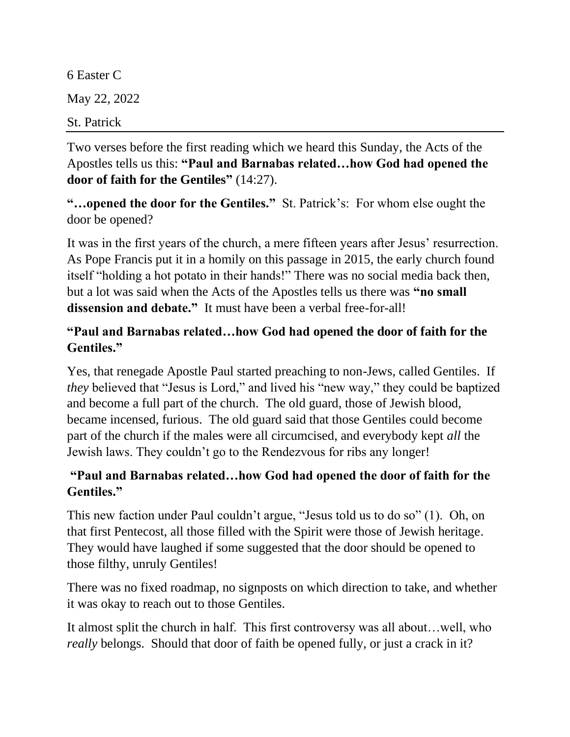6 Easter C May 22, 2022 St. Patrick

Two verses before the first reading which we heard this Sunday, the Acts of the Apostles tells us this: **"Paul and Barnabas related…how God had opened the door of faith for the Gentiles"** (14:27).

**"…opened the door for the Gentiles."** St. Patrick's: For whom else ought the door be opened?

It was in the first years of the church, a mere fifteen years after Jesus' resurrection. As Pope Francis put it in a homily on this passage in 2015, the early church found itself "holding a hot potato in their hands!" There was no social media back then, but a lot was said when the Acts of the Apostles tells us there was **"no small dissension and debate."** It must have been a verbal free-for-all!

## **"Paul and Barnabas related…how God had opened the door of faith for the Gentiles."**

Yes, that renegade Apostle Paul started preaching to non-Jews, called Gentiles. If *they* believed that "Jesus is Lord," and lived his "new way," they could be baptized and become a full part of the church. The old guard, those of Jewish blood, became incensed, furious. The old guard said that those Gentiles could become part of the church if the males were all circumcised, and everybody kept *all* the Jewish laws. They couldn't go to the Rendezvous for ribs any longer!

## **"Paul and Barnabas related…how God had opened the door of faith for the Gentiles."**

This new faction under Paul couldn't argue, "Jesus told us to do so" (1). Oh, on that first Pentecost, all those filled with the Spirit were those of Jewish heritage. They would have laughed if some suggested that the door should be opened to those filthy, unruly Gentiles!

There was no fixed roadmap, no signposts on which direction to take, and whether it was okay to reach out to those Gentiles.

It almost split the church in half. This first controversy was all about…well, who *really* belongs. Should that door of faith be opened fully, or just a crack in it?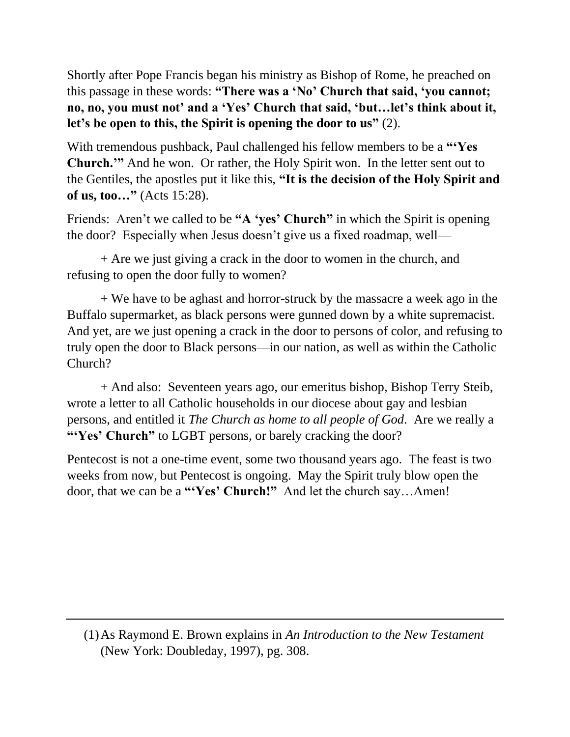Shortly after Pope Francis began his ministry as Bishop of Rome, he preached on this passage in these words: **"There was a 'No' Church that said, 'you cannot; no, no, you must not' and a 'Yes' Church that said, 'but…let's think about it, let's be open to this, the Spirit is opening the door to us"** (2).

With tremendous pushback, Paul challenged his fellow members to be a **"'Yes Church.'"** And he won. Or rather, the Holy Spirit won. In the letter sent out to the Gentiles, the apostles put it like this, **"It is the decision of the Holy Spirit and of us, too…"** (Acts 15:28).

Friends: Aren't we called to be **"A 'yes' Church"** in which the Spirit is opening the door? Especially when Jesus doesn't give us a fixed roadmap, well—

+ Are we just giving a crack in the door to women in the church, and refusing to open the door fully to women?

+ We have to be aghast and horror-struck by the massacre a week ago in the Buffalo supermarket, as black persons were gunned down by a white supremacist. And yet, are we just opening a crack in the door to persons of color, and refusing to truly open the door to Black persons—in our nation, as well as within the Catholic Church?

+ And also: Seventeen years ago, our emeritus bishop, Bishop Terry Steib, wrote a letter to all Catholic households in our diocese about gay and lesbian persons, and entitled it *The Church as home to all people of God*. Are we really a **"Yes' Church"** to LGBT persons, or barely cracking the door?

Pentecost is not a one-time event, some two thousand years ago. The feast is two weeks from now, but Pentecost is ongoing. May the Spirit truly blow open the door, that we can be a **"'Yes' Church!"** And let the church say…Amen!

<sup>(1)</sup>As Raymond E. Brown explains in *An Introduction to the New Testament* (New York: Doubleday, 1997), pg. 308.